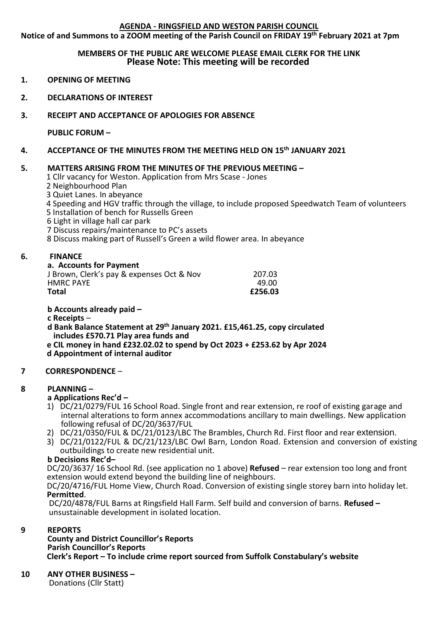## **AGENDA - RINGSFIELD AND WESTON PARISH COUNCIL**

**Notice of and Summons to a ZOOM meeting of the Parish Council on FRIDAY 19th February 2021 at 7pm**

### **MEMBERS OF THE PUBLIC ARE WELCOME PLEASE EMAIL CLERK FOR THE LINK Please Note: This meeting will be recorded**

- **1. OPENING OF MEETING**
- **2. DECLARATIONS OF INTEREST**
- **3. RECEIPT AND ACCEPTANCE OF APOLOGIES FOR ABSENCE**

**PUBLIC FORUM –**

**4. ACCEPTANCE OF THE MINUTES FROM THE MEETING HELD ON 15th JANUARY 2021**

## **5. MATTERS ARISING FROM THE MINUTES OF THE PREVIOUS MEETING –**

1 Cllr vacancy for Weston. Application from Mrs Scase - Jones

2 Neighbourhood Plan

3 Quiet Lanes. In abeyance

4 Speeding and HGV traffic through the village, to include proposed Speedwatch Team of volunteers

5 Installation of bench for Russells Green

6 Light in village hall car park

7 Discuss repairs/maintenance to PC's assets

8 Discuss making part of Russell's Green a wild flower area. In abeyance

## **6. FINANCE**

**a. Accounts for Payment**

| Total                                     | £256.03 |
|-------------------------------------------|---------|
| <b>HMRC PAYE</b>                          | 49.00   |
| J Brown, Clerk's pay & expenses Oct & Nov | 207.03  |

**b Accounts already paid –**

**c Receipts** –

#### **d Bank Balance Statement at 29th January 2021. £15,461.25, copy circulated includes £570.71 Play area funds and**

 **e CIL money in hand £232.02.02 to spend by Oct 2023 + £253.62 by Apr 2024 d Appointment of internal auditor**

# **7 CORRESPONDENCE** –

## **8 PLANNING –**

- **a Applications Rec'd –**
- 1) DC/21/0279/FUL 16 School Road. Single front and rear extension, re roof of existing garage and internal alterations to form annex accommodations ancillary to main dwellings. New application following refusal of DC/20/3637/FUL
- 2) DC/21/0350/FUL & DC/21/0123/LBC The Brambles, Church Rd. First floor and rear extension.
- 3) DC/21/0122/FUL & DC/21/123/LBC Owl Barn, London Road. Extension and conversion of existing outbuildings to create new residential unit.

## **b Decisions Rec'd–**

 DC/20/3637/ 16 School Rd. (see application no 1 above) **Refused** – rear extension too long and front extension would extend beyond the building line of neighbours.

 DC/20/4716/FUL Home View, Church Road. Conversion of existing single storey barn into holiday let. **Permitted**.

 DC/20/4878/FUL Barns at Ringsfield Hall Farm. Self build and conversion of barns. **Refused –** unsustainable development in isolated location.

## **9 REPORTS**

**County and District Councillor's Reports Parish Councillor's Reports Clerk's Report – To include crime report sourced from Suffolk Constabulary's website**

**10 ANY OTHER BUSINESS –**

**Donations (Cllr Statt)**